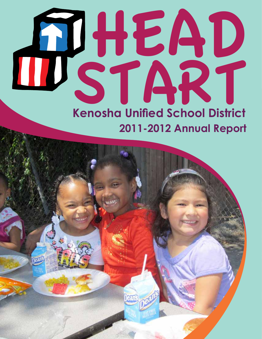# Cover Page **Kenosha Unified School District 2011-2012 Annual Report** HEAD START<br>Kenosha Unified School District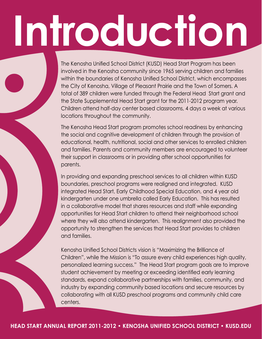# **Introduction**

The Kenosha Unified School District (KUSD) Head Start Program has been involved in the Kenosha community since 1965 serving children and families within the boundaries of Kenosha Unified School District, which encompasses the City of Kenosha, Village of Pleasant Prairie and the Town of Somers. A total of 389 children were funded through the Federal Head Start grant and the State Supplemental Head Start grant for the 2011-2012 program year. Children attend half-day center based classrooms, 4 days a week at various locations throughout the community.

The Kenosha Head Start program promotes school readiness by enhancing the social and cognitive development of children through the provision of educational, health, nutritional, social and other services to enrolled children and families. Parents and community members are encouraged to volunteer their support in classrooms or in providing after school opportunities for parents.

In providing and expanding preschool services to all children within KUSD boundaries, preschool programs were realigned and integrated. KUSD integrated Head Start, Early Childhood Special Education, and 4 year old kindergarten under one umbrella called Early Education. This has resulted in a collaborative model that shares resources and staff while expanding opportunities for Head Start children to attend their neighborhood school where they will also attend kindergarten. This realignment also provided the opportunity to strengthen the services that Head Start provides to children and families.

Kenosha Unified School Districts vision is "Maximizing the Brilliance of Children", while the Mission is "To assure every child experiences high quality, personalized learning success." The Head Start program goals are to improve student achievement by meeting or exceeding identified early learning standards, expand collaborative partnerships with families, community, and industry by expanding community based locations and secure resources by collaborating with all KUSD preschool programs and community child care centers.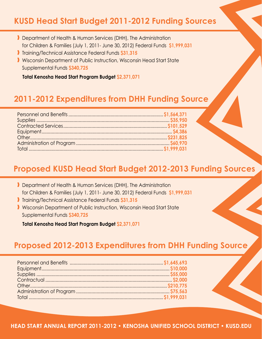#### **KUSD Head Start Budget 2011-2012 Funding Sources**

- ❱ Department of Health & Human Services (DHH), The Administration for Children & Families (July 1, 2011- June 30, 2012) Federal Funds **\$1,999,031**
- ❱ Training/Technical Assistance Federal Funds **\$31,315**
- ❱ Wisconsin Department of Public Instruction, Wisconsin Head Start State Supplemental Funds **\$340,725**

 **Total Kenosha Head Start Program Budget \$2,371,071**

#### **2011-2012 Expenditures from DHH Funding Source**

#### **Proposed KUSD Head Start Budget 2012-2013 Funding Sources**

- ❱ Department of Health & Human Services (DHH), The Administration for Children & Families (July 1, 2011- June 30, 2012) Federal Funds **\$1,999,031**
- ❱ Training/Technical Assistance Federal Funds **\$31,315**
- ❱ Wisconsin Department of Public Instruction, Wisconsin Head Start State Supplemental Funds **\$340,725**

 **Total Kenosha Head Start Program Budget \$2,371,071**

#### **Proposed 2012-2013 Expenditures from DHH Funding Source**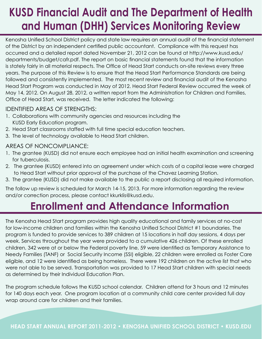### **KUSD Financial Audit and The Department of Health and Human (DHH) Services Monitoring Review**

Kenosha Unified School District policy and state law requires an annual audit of the financial statement of the District by an independent certified public accountant. Compliance with this request has occurred and a detailed report dated November 21, 2012 can be found at http://www.kusd.edu/ departments/budget/cafr.pdf. The report on basic financial statements found that the information is stately fairly in all material respects. The Office of Head Start conducts on-site reviews every three years. The purpose of this Review is to ensure that the Head Start Performance Standards are being followed and consistently implemented. The most recent review and financial audit of the Kenosha Head Start Program was conducted in May of 2012. Head Start Federal Review occurred the week of May 14, 2012. On August 28, 2012, a written report from the Administration for Children and Families, Office of Head Start, was received. The letter indicated the following:

#### Identified Areas of Strengths:

- 1. Collaborations with community agencies and resources including the KUSD Early Education program.
- 2. Head Start classrooms staffed with full time special education teachers.
- 3. The level of technology available to Head Start children.

#### Areas of Noncompliance:

- 1. The grantee (KUSD) did not ensure each employee had an initial health examination and screening for tuberculosis.
- 2. The grantee (KUSD) entered into an agreement under which costs of a capital lease were charged to Head Start without prior approval of the purchase of the Chavez Learning Station.
- 3. The grantee (KUSD) did not make available to the public a report disclosing all required information.

The follow up review is scheduled for March 14-15, 2013. For more information regarding the review and/or correction process, please contact kkurklis@kusd.edu.

### **Enrollment and Attendance Information**

The Kenosha Head Start program provides high quality educational and family services at no-cost for low-income children and families within the Kenosha Unified School District #1 boundaries. The program is funded to provide services to 389 children at 15 locations in half day sessions, 4 days per week. Services throughout the year were provided to a cumulative 426 children. Of these enrolled children, 342 were at or below the Federal poverty line, 59 were identified as Temporary Assistance to Needy Families (TANF) or Social Security Income (SSI) eligible, 22 children were enrolled as Foster Care eligible, and 12 were identified as being homeless. There were 192 children on the active list that who were not able to be served. Transportation was provided to 17 Head Start children with special needs as determined by their Individual Education Plan.

The program schedule follows the KUSD school calendar. Children attend for 3 hours and 12 minutes for 140 days each year. One program location at a community child care center provided full day wrap around care for children and their families.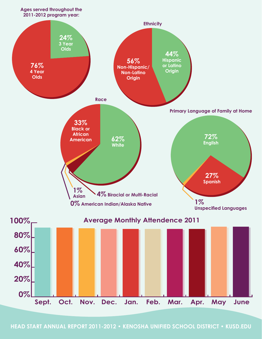

**HEAD START ANNUAL REPORT 2011-2012 • KENOSHA UNIFIED SCHOOL DISTRICT • KUSD.EDU**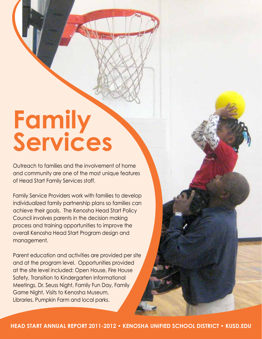# **Family Services**

Outreach to families and the involvement of home and community are one of the most unique features of Head Start Family Services staff.

Family Service Providers work with families to develop individualized family partnership plans so families can achieve their goals. The Kenosha Head Start Policy Council involves parents in the decision making process and training opportunities to improve the overall Kenosha Head Start Program design and management.

Parent education and activities are provided per site and at the program level. Opportunities provided at the site level included: Open House, Fire House Safety, Transition to Kindergarten Informational Meetings, Dr. Seuss Night, Family Fun Day, Family Game Night, Visits to Kenosha Museum, Libraries, Pumpkin Farm and local parks.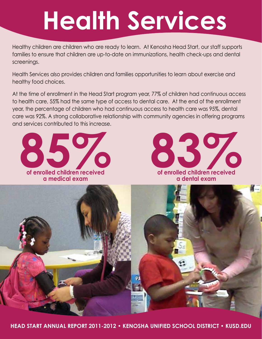# **Health Services**

Healthy children are children who are ready to learn. At Kenosha Head Start, our staff supports families to ensure that children are up-to-date on immunizations, health check-ups and dental screenings.

Health Services also provides children and families opportunities to learn about exercise and healthy food choices.

At the time of enrollment in the Head Start program year, 77% of children had continuous access to health care, 55% had the same type of access to dental care. At the end of the enrollment year, the percentage of children who had continuous access to health care was 95%, dental care was 92%. A strong collaborative relationship with community agencies in offering programs and services contributed to this increase.

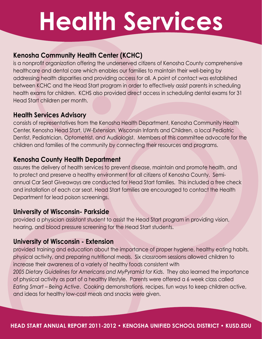# **Health Services**

#### **Kenosha Community Health Center (KCHC)**

is a nonprofit organization offering the underserved citizens of Kenosha County comprehensive healthcare and dental care which enables our families to maintain their well-being by addressing health disparities and providing access for all. A point of contact was established between KCHC and the Head Start program in order to effectively assist parents in scheduling health exams for children. KCHS also provided direct access in scheduling dental exams for 31 Head Start children per month.

#### **Health Services Advisory**

consists of representatives from the Kenosha Health Department, Kenosha Community Health Center, Kenosha Head Start, UW-Extension, Wisconsin Infants and Children, a local Pediatric Dentist, Pediatrician, Optometrist, and Audiologist. Members of this committee advocate for the children and families of the community by connecting their resources and programs.

#### **Kenosha County Health Department**

assures the delivery of health services to prevent disease, maintain and promote health, and to protect and preserve a healthy environment for all citizens of Kenosha County. Semiannual Car Seat Giveaways are conducted for Head Start families. This included a free check and installation of each car seat. Head Start families are encouraged to contact the Health Department for lead poison screenings.

#### **University of Wisconsin- Parkside**

provided a physician assistant student to assist the Head Start program in providing vision, hearing, and blood pressure screening for the Head Start students.

#### **University of Wisconsin - Extension**

provided training and education about the importance of proper hygiene, healthy eating habits, physical activity, and preparing nutritional meals. Six classroom sessions allowed children to increase their awareness of a variety of healthy foods consistent with

*2005 Dietary Guidelines for Americans and MyPyramid for Kids*. They also learned the importance of physical activity as part of a healthy lifestyle. Parents were offered a 6 week class called *Eating Smart – Being Active*. Cooking demonstrations, recipes, fun ways to keep children active, and ideas for healthy low-cost meals and snacks were given.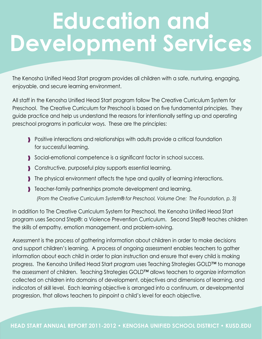# **Education and Development Services**

The Kenosha Unified Head Start program provides all children with a safe, nurturing, engaging, enjoyable, and secure learning environment.

All staff in the Kenosha Unified Head Start program follow The Creative Curriculum System for Preschool. The Creative Curriculum for Preschool is based on five fundamental principles. They guide practice and help us understand the reasons for intentionally setting up and operating preschool programs in particular ways. These are the principles:

- ❱ Positive interactions and relationships with adults provide a critical foundation for successful learning.
- ❱ Social-emotional competence is a significant factor in school success.
- ❱ Constructive, purposeful play supports essential learning.
- ❱ The physical environment affects the type and quality of learning interactions.
- ❱ Teacher-family partnerships promote development and learning.

 *(From the Creative Curriculum System® for Preschool, Volume One: The Foundation, p. 3)* 

In addition to The Creative Curriculum System for Preschool, the Kenosha Unified Head Start program uses Second Step®: a Violence Prevention Curriculum. Second Step® teaches children the skills of empathy, emotion management, and problem-solving.

Assessment is the process of gathering information about children in order to make decisions and support children's learning. A process of ongoing assessment enables teachers to gather information about each child in order to plan instruction and ensure that every child is making progress. The Kenosha Unified Head Start program uses Teaching Strategies GOLD™ to manage the assessment of children. Teaching Strategies GOLD™ allows teachers to organize information collected on children into domains of development, objectives and dimensions of learning, and indicators of skill level. Each learning objective is arranged into a continuum, or developmental progression, that allows teachers to pinpoint a child's level for each objective.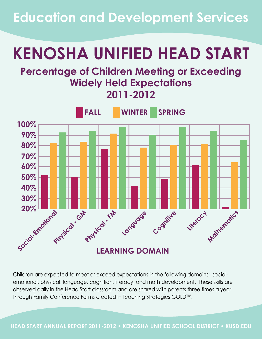**Education and Development Services**

# **KENOSHA UNIFIED HEAD START**

#### **Percentage of Children Meeting or Exceeding Widely Held Expectations 2011-2012**



Children are expected to meet or exceed expectations in the following domains: socialemotional, physical, language, cognition, literacy, and math development. These skills are observed daily in the Head Start classroom and are shared with parents three times a year through Family Conference Forms created in Teaching Strategies GOLD™.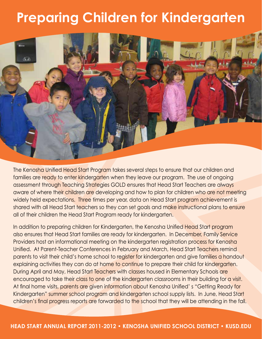### **Preparing Children for Kindergarten**



The Kenosha Unified Head Start Program takes several steps to ensure that our children and families are ready to enter kindergarten when they leave our program. The use of ongoing assessment through Teaching Strategies GOLD ensures that Head Start Teachers are always aware of where their children are developing and how to plan for children who are not meeting widely held expectations. Three times per year, data on Head Start program achievement is shared with all Head Start teachers so they can set goals and make instructional plans to ensure all of their children the Head Start Program ready for kindergarten.

In addition to preparing children for Kindergarten, the Kenosha Unified Head Start program also ensures that Head Start families are ready for kindergarten. In December, Family Service Providers host an informational meeting on the kindergarten registration process for Kenosha Unified. At Parent-Teacher Conferences in February and March, Head Start Teachers remind parents to visit their child's home school to register for kindergarten and give families a handout explaining activities they can do at home to continue to prepare their child for kindergarten. During April and May, Head Start Teachers with classes housed in Elementary Schools are encouraged to take their class to one of the kindergarten classrooms in their building for a visit. At final home visits, parents are given information about Kenosha Unified' s "Getting Ready for Kindergarten" summer school program and kindergarten school supply lists. In June, Head Start children's final progress reports are forwarded to the school that they will be attending in the fall.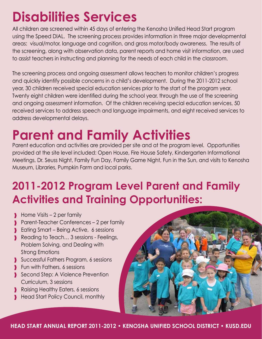## **Disabilities Services**

All children are screened within 45 days of entering the Kenosha Unified Head Start program using the Speed DIAL. The screening process provides information in three major developmental areas: visual/motor, language and cognition, and gross motor/body awareness. The results of the screening, along with observation data, parent reports and home visit information, are used to assist teachers in instructing and planning for the needs of each child in the classroom.

The screening process and ongoing assessment allows teachers to monitor children's progress and quickly identify possible concerns in a child's development. During the 2011-2012 school year, 30 children received special education services prior to the start of the program year. Twenty eight children were identified during the school year, through the use of the screening and ongoing assessment information. Of the children receiving special education services, 50 received services to address speech and language impairments, and eight received services to address developmental delays.

# **Parent and Family Activities**

Parent education and activities are provided per site and at the program level. Opportunities provided at the site level included: Open House, Fire House Safety, Kindergarten Informational Meetings, Dr. Seuss Night, Family Fun Day, Family Game Night, Fun in the Sun, and visits to Kenosha Museum, Libraries, Pumpkin Farm and local parks.

### **2011-2012 Program Level Parent and Family Activities and Training Opportunities:**

- $\blacksquare$  Home Visits 2 per family
- ❱ Parent-Teacher Conferences 2 per family
- ▶ Eating Smart Being Active, 6 sessions
- Reading to Teach... 3 sessions Feelings, Problem Solving, and Dealing with Strong Emotions
- ❱ Successful Fathers Program, 6 sessions
- **I** Fun with Fathers, 6 sessions
- Second Step: A Violence Prevention Curriculum, 3 sessions
- Raising Healthy Eaters, 6 sessions
- ❱ Head Start Policy Council, monthly

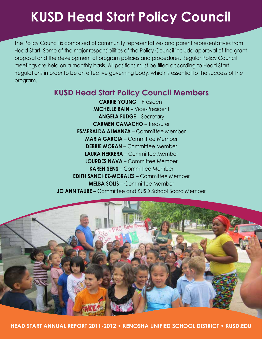### **KUSD Head Start Policy Council**

The Policy Council is comprised of community representatives and parent representatives from Head Start. Some of the major responsibilities of the Policy Council include approval of the grant proposal and the development of program policies and procedures. Regular Policy Council meetings are held on a monthly basis. All positions must be filled according to Head Start Regulations in order to be an effective governing body, which is essential to the success of the program.

#### **KUSD Head Start Policy Council Members**

**Carrie Young** – President **Michelle Bain** – Vice-President **Angela Fudge** – Secretary **Carmen Camacho** – Treasurer **Esmeralda Almanza** – Committee Member **Maria Garcia** – Committee Member **DEBBIE MORAN** – Committee Member **Laura Herrera** – Committee Member **LOURDES NAVA – Committee Member Karen Sens** – Committee Member **Edith Sanchez-Morales** – Committee Member **Melba Solis** – Committee Member **Jo ann Taube** – Committee and KUSD School Board Member